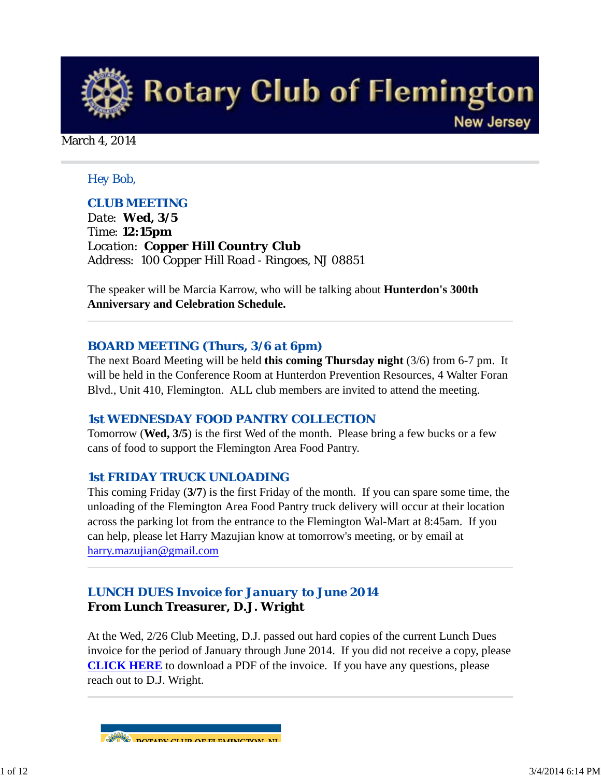

March 4, 2014

### *Hey Bob,*

### *CLUB MEETING*

*Date: Wed, 3/5 Time: 12:15pm Location: Copper Hill Country Club Address: 100 Copper Hill Road - Ringoes, NJ 08851*

The speaker will be Marcia Karrow, who will be talking about **Hunterdon's 300th Anniversary and Celebration Schedule.**

### *BOARD MEETING (Thurs, 3/6 at 6pm)*

The next Board Meeting will be held **this coming Thursday night** (3/6) from 6-7 pm. It will be held in the Conference Room at Hunterdon Prevention Resources, 4 Walter Foran Blvd., Unit 410, Flemington. ALL club members are invited to attend the meeting.

### *1st WEDNESDAY FOOD PANTRY COLLECTION*

Tomorrow (**Wed, 3/5**) is the first Wed of the month. Please bring a few bucks or a few cans of food to support the Flemington Area Food Pantry.

### *1st FRIDAY TRUCK UNLOADING*

This coming Friday (**3/7**) is the first Friday of the month. If you can spare some time, the unloading of the Flemington Area Food Pantry truck delivery will occur at their location across the parking lot from the entrance to the Flemington Wal-Mart at 8:45am. If you can help, please let Harry Mazujian know at tomorrow's meeting, or by email at harry.mazujian@gmail.com

# *LUNCH DUES Invoice for January to June 2014* **From Lunch Treasurer, D.J. Wright**

At the Wed, 2/26 Club Meeting, D.J. passed out hard copies of the current Lunch Dues invoice for the period of January through June 2014. If you did not receive a copy, please **CLICK HERE** to download a PDF of the invoice. If you have any questions, please reach out to D.J. Wright.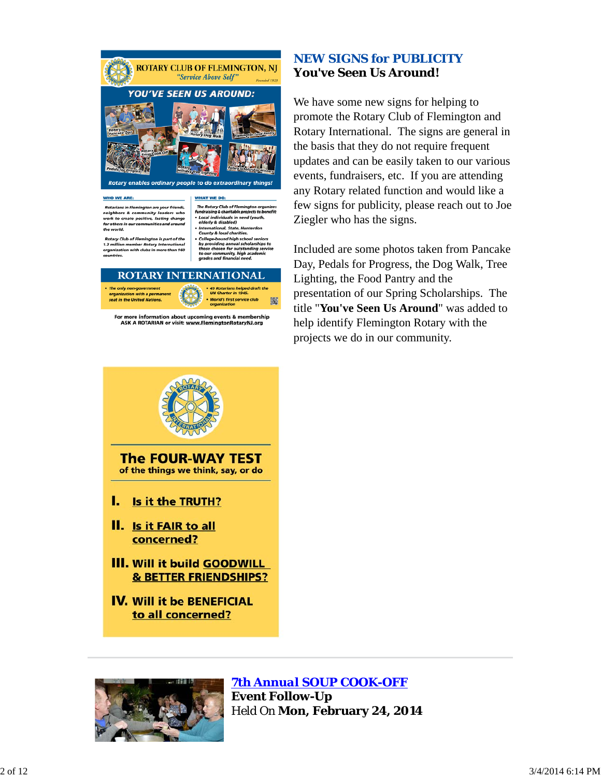

For more information about upcoming events & membership<br>ASK A ROTARIAN or visit: www.FlemingtonRotaryNJ.org

### *NEW SIGNS for PUBLICITY* **You've Seen Us Around!**

We have some new signs for helping to promote the Rotary Club of Flemington and Rotary International. The signs are general in the basis that they do not require frequent updates and can be easily taken to our various events, fundraisers, etc. If you are attending any Rotary related function and would like a few signs for publicity, please reach out to Joe Ziegler who has the signs.

Included are some photos taken from Pancake Day, Pedals for Progress, the Dog Walk, Tree Lighting, the Food Pantry and the presentation of our Spring Scholarships. The title "**You've Seen Us Around**" was added to help identify Flemington Rotary with the projects we do in our community.





*7th Annual SOUP COOK-OFF*

**Event Follow-Up** Held On **Mon, February 24, 2014**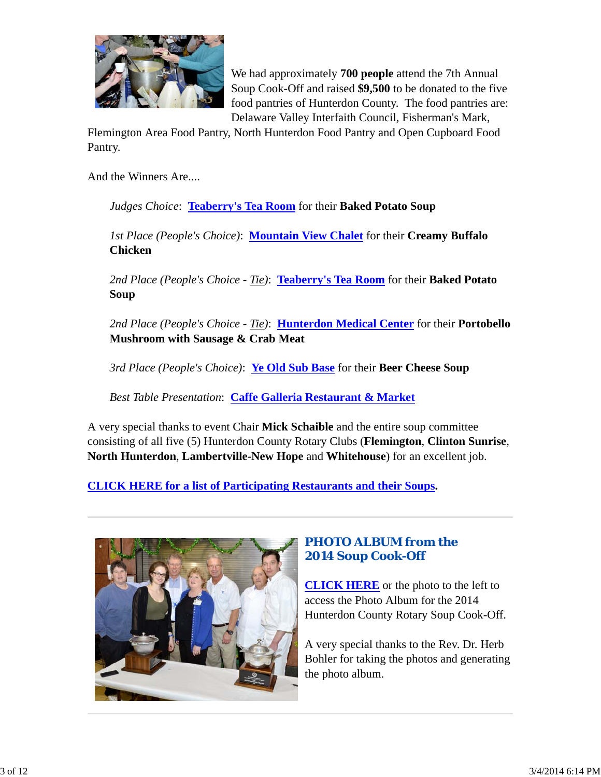

We had approximately **700 people** attend the 7th Annual Soup Cook-Off and raised **\$9,500** to be donated to the five food pantries of Hunterdon County. The food pantries are: Delaware Valley Interfaith Council, Fisherman's Mark,

Flemington Area Food Pantry, North Hunterdon Food Pantry and Open Cupboard Food Pantry.

And the Winners Are....

*Judges Choice*: **Teaberry's Tea Room** for their **Baked Potato Soup**

*1st Place (People's Choice)*: **Mountain View Chalet** for their **Creamy Buffalo Chicken**

*2nd Place (People's Choice - Tie)*: **Teaberry's Tea Room** for their **Baked Potato Soup**

*2nd Place (People's Choice - Tie)*: **Hunterdon Medical Center** for their **Portobello Mushroom with Sausage & Crab Meat**

*3rd Place (People's Choice)*: **Ye Old Sub Base** for their **Beer Cheese Soup**

*Best Table Presentation*: **Caffe Galleria Restaurant & Market**

A very special thanks to event Chair **Mick Schaible** and the entire soup committee consisting of all five (5) Hunterdon County Rotary Clubs (**Flemington**, **Clinton Sunrise**, **North Hunterdon**, **Lambertville-New Hope** and **Whitehouse**) for an excellent job.

**CLICK HERE for a list of Participating Restaurants and their Soups.**



# *PHOTO ALBUM from the 2014 Soup Cook-Off*

**CLICK HERE** or the photo to the left to access the Photo Album for the 2014 Hunterdon County Rotary Soup Cook-Off.

A very special thanks to the Rev. Dr. Herb Bohler for taking the photos and generating the photo album.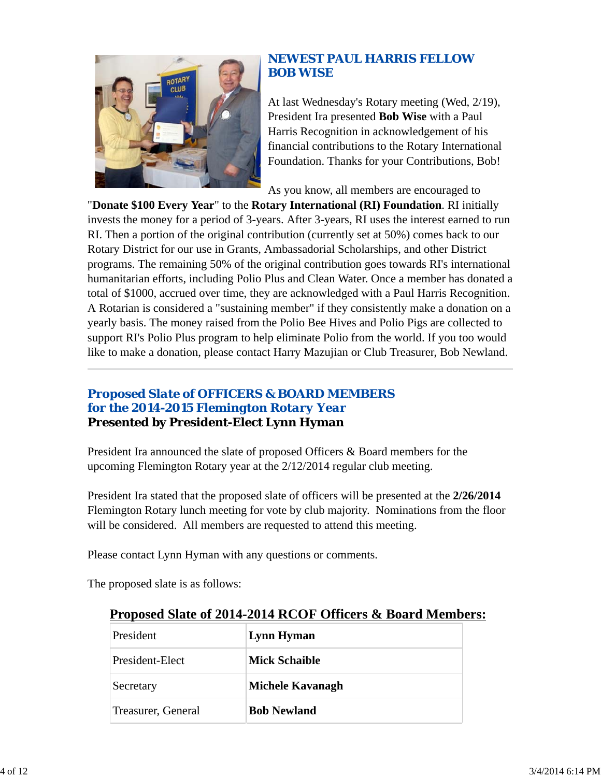

# *NEWEST PAUL HARRIS FELLOW BOB WISE*

At last Wednesday's Rotary meeting (Wed, 2/19), President Ira presented **Bob Wise** with a Paul Harris Recognition in acknowledgement of his financial contributions to the Rotary International Foundation. Thanks for your Contributions, Bob!

As you know, all members are encouraged to

"**Donate \$100 Every Year**" to the **Rotary International (RI) Foundation**. RI initially invests the money for a period of 3-years. After 3-years, RI uses the interest earned to run RI. Then a portion of the original contribution (currently set at 50%) comes back to our Rotary District for our use in Grants, Ambassadorial Scholarships, and other District programs. The remaining 50% of the original contribution goes towards RI's international humanitarian efforts, including Polio Plus and Clean Water. Once a member has donated a total of \$1000, accrued over time, they are acknowledged with a Paul Harris Recognition. A Rotarian is considered a "sustaining member" if they consistently make a donation on a yearly basis. The money raised from the Polio Bee Hives and Polio Pigs are collected to support RI's Polio Plus program to help eliminate Polio from the world. If you too would like to make a donation, please contact Harry Mazujian or Club Treasurer, Bob Newland.

# *Proposed Slate of OFFICERS & BOARD MEMBERS for the 2014-2015 Flemington Rotary Year* **Presented by President-Elect Lynn Hyman**

President Ira announced the slate of proposed Officers & Board members for the upcoming Flemington Rotary year at the 2/12/2014 regular club meeting.

President Ira stated that the proposed slate of officers will be presented at the **2/26/2014** Flemington Rotary lunch meeting for vote by club majority. Nominations from the floor will be considered. All members are requested to attend this meeting.

Please contact Lynn Hyman with any questions or comments.

The proposed slate is as follows:

| President          | Lynn Hyman           |
|--------------------|----------------------|
| President-Elect    | <b>Mick Schaible</b> |
| Secretary          | Michele Kavanagh     |
| Treasurer, General | <b>Bob Newland</b>   |

# **Proposed Slate of 2014-2014 RCOF Officers & Board Members:**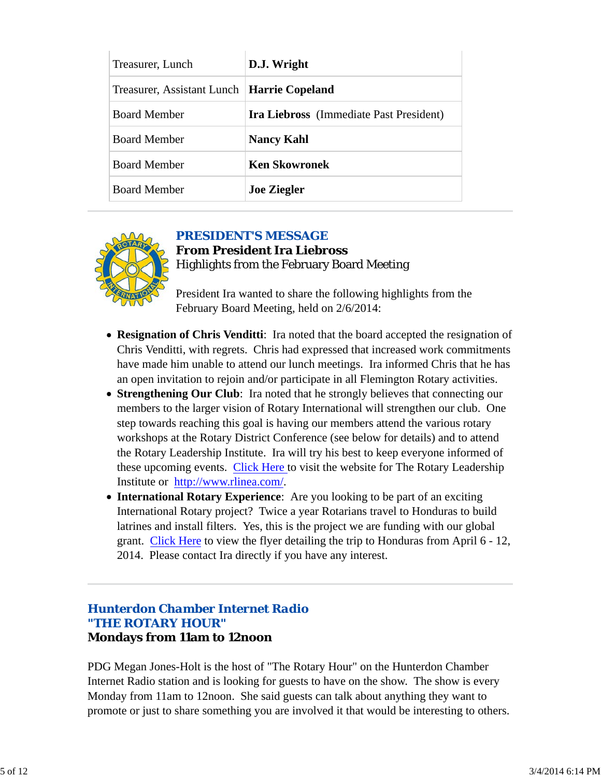| Treasurer, Lunch                             | D.J. Wright                                    |  |
|----------------------------------------------|------------------------------------------------|--|
| Treasurer, Assistant Lunch   Harrie Copeland |                                                |  |
| <b>Board Member</b>                          | <b>Ira Liebross</b> (Immediate Past President) |  |
| <b>Board Member</b>                          | <b>Nancy Kahl</b>                              |  |
| <b>Board Member</b>                          | <b>Ken Skowronek</b>                           |  |
| <b>Board Member</b>                          | <b>Joe Ziegler</b>                             |  |



### *PRESIDENT'S MESSAGE*

# **From President Ira Liebross** Highlights from the February Board Meeting

President Ira wanted to share the following highlights from the February Board Meeting, held on 2/6/2014:

- **Resignation of Chris Venditti**: Ira noted that the board accepted the resignation of Chris Venditti, with regrets. Chris had expressed that increased work commitments have made him unable to attend our lunch meetings. Ira informed Chris that he has an open invitation to rejoin and/or participate in all Flemington Rotary activities.
- **Strengthening Our Club**: Ira noted that he strongly believes that connecting our members to the larger vision of Rotary International will strengthen our club. One step towards reaching this goal is having our members attend the various rotary workshops at the Rotary District Conference (see below for details) and to attend the Rotary Leadership Institute. Ira will try his best to keep everyone informed of these upcoming events. Click Here to visit the website for The Rotary Leadership Institute or http://www.rlinea.com/.
- **International Rotary Experience**: Are you looking to be part of an exciting International Rotary project? Twice a year Rotarians travel to Honduras to build latrines and install filters. Yes, this is the project we are funding with our global grant. Click Here to view the flyer detailing the trip to Honduras from April 6 - 12, 2014. Please contact Ira directly if you have any interest.

### *Hunterdon Chamber Internet Radio "THE ROTARY HOUR"* **Mondays from 11am to 12noon**

PDG Megan Jones-Holt is the host of "The Rotary Hour" on the Hunterdon Chamber Internet Radio station and is looking for guests to have on the show. The show is every Monday from 11am to 12noon. She said guests can talk about anything they want to promote or just to share something you are involved it that would be interesting to others.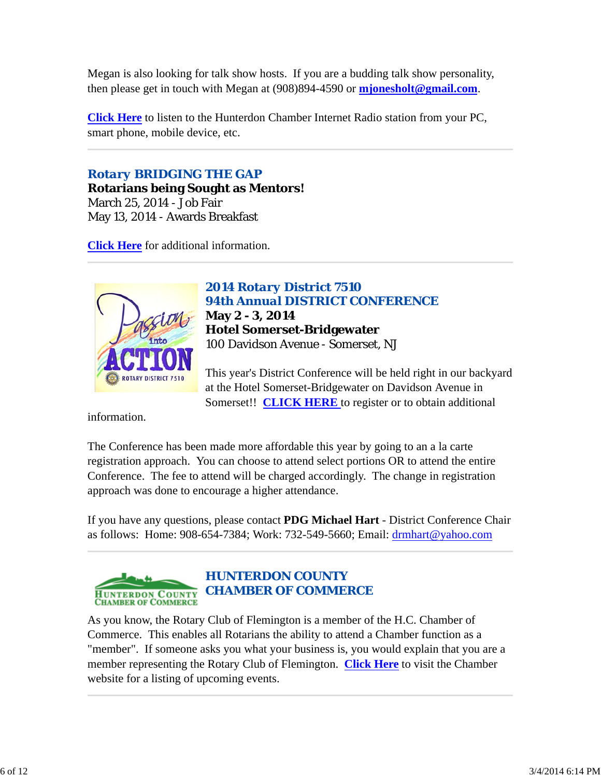Megan is also looking for talk show hosts. If you are a budding talk show personality, then please get in touch with Megan at (908)894-4590 or **mjonesholt@gmail.com**.

**Click Here** to listen to the Hunterdon Chamber Internet Radio station from your PC, smart phone, mobile device, etc.

# *Rotary BRIDGING THE GAP*

**Rotarians being Sought as Mentors!** March 25, 2014 - Job Fair May 13, 2014 - Awards Breakfast

**Click Here** for additional information.



*2014 Rotary District 7510 94th Annual DISTRICT CONFERENCE* **May 2 - 3, 2014 Hotel Somerset-Bridgewater** 100 Davidson Avenue - Somerset, NJ

This year's District Conference will be held right in our backyard at the Hotel Somerset-Bridgewater on Davidson Avenue in Somerset!! **CLICK HERE** to register or to obtain additional

information.

The Conference has been made more affordable this year by going to an a la carte registration approach. You can choose to attend select portions OR to attend the entire Conference. The fee to attend will be charged accordingly. The change in registration approach was done to encourage a higher attendance.

If you have any questions, please contact **PDG Michael Hart** - District Conference Chair as follows: Home: 908-654-7384; Work: 732-549-5660; Email: drmhart@yahoo.com



As you know, the Rotary Club of Flemington is a member of the H.C. Chamber of Commerce. This enables all Rotarians the ability to attend a Chamber function as a "member". If someone asks you what your business is, you would explain that you are a member representing the Rotary Club of Flemington. **Click Here** to visit the Chamber website for a listing of upcoming events.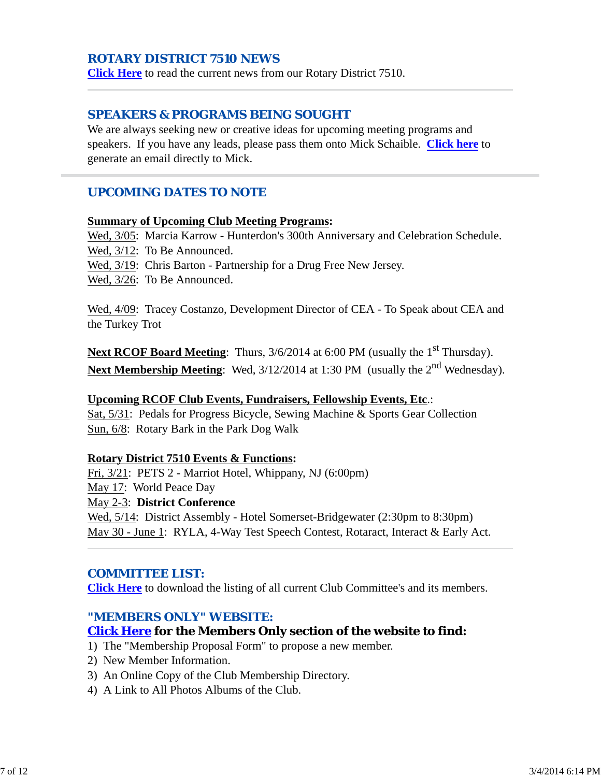### *ROTARY DISTRICT 7510 NEWS*

**Click Here** to read the current news from our Rotary District 7510.

### *SPEAKERS & PROGRAMS BEING SOUGHT*

We are always seeking new or creative ideas for upcoming meeting programs and speakers. If you have any leads, please pass them onto Mick Schaible. **Click here** to generate an email directly to Mick.

### *UPCOMING DATES TO NOTE*

#### **Summary of Upcoming Club Meeting Programs:**

Wed, 3/05: Marcia Karrow - Hunterdon's 300th Anniversary and Celebration Schedule.

Wed, 3/12: To Be Announced.

Wed, 3/19: Chris Barton - Partnership for a Drug Free New Jersey.

Wed, 3/26: To Be Announced.

Wed, 4/09: Tracey Costanzo, Development Director of CEA - To Speak about CEA and the Turkey Trot

**Next RCOF Board Meeting**: Thurs, 3/6/2014 at 6:00 PM (usually the 1<sup>st</sup> Thursday). Next Membership Meeting: Wed, 3/12/2014 at 1:30 PM (usually the 2<sup>nd</sup> Wednesday).

#### **Upcoming RCOF Club Events, Fundraisers, Fellowship Events, Etc**.:

Sat, 5/31: Pedals for Progress Bicycle, Sewing Machine & Sports Gear Collection Sun, 6/8: Rotary Bark in the Park Dog Walk

#### **Rotary District 7510 Events & Functions:**

Fri, 3/21: PETS 2 - Marriot Hotel, Whippany, NJ (6:00pm) May 17: World Peace Day May 2-3: **District Conference** Wed, 5/14: District Assembly - Hotel Somerset-Bridgewater (2:30pm to 8:30pm) May 30 - June 1: RYLA, 4-Way Test Speech Contest, Rotaract, Interact & Early Act.

#### *COMMITTEE LIST:*

**Click Here** to download the listing of all current Club Committee's and its members.

#### *"MEMBERS ONLY" WEBSITE:*

#### **Click Here for the Members Only section of the website to find:**

- 1) The "Membership Proposal Form" to propose a new member.
- 2) New Member Information.
- 3) An Online Copy of the Club Membership Directory.
- 4) A Link to All Photos Albums of the Club.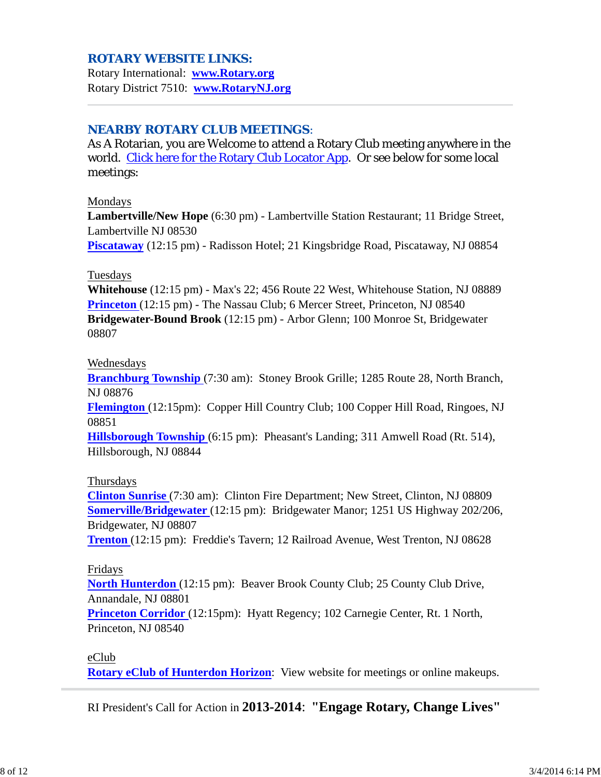### *ROTARY WEBSITE LINKS:*

Rotary International: **www.Rotary.org** Rotary District 7510: **www.RotaryNJ.org**

### *NEARBY ROTARY CLUB MEETINGS:*

As A Rotarian, you are Welcome to attend a Rotary Club meeting anywhere in the world. Click here for the Rotary Club Locator App. Or see below for some local meetings:

#### Mondays

**Lambertville/New Hope** (6:30 pm) - Lambertville Station Restaurant; 11 Bridge Street, Lambertville NJ 08530

**Piscataway** (12:15 pm) - Radisson Hotel; 21 Kingsbridge Road, Piscataway, NJ 08854

#### Tuesdays

**Whitehouse** (12:15 pm) - Max's 22; 456 Route 22 West, Whitehouse Station, NJ 08889 **Princeton** (12:15 pm) - The Nassau Club; 6 Mercer Street, Princeton, NJ 08540 **Bridgewater-Bound Brook** (12:15 pm) - Arbor Glenn; 100 Monroe St, Bridgewater 08807

#### Wednesdays

**Branchburg Township** (7:30 am): Stoney Brook Grille; 1285 Route 28, North Branch, NJ 08876

**Flemington** (12:15pm): Copper Hill Country Club; 100 Copper Hill Road, Ringoes, NJ 08851

**Hillsborough Township** (6:15 pm): Pheasant's Landing; 311 Amwell Road (Rt. 514), Hillsborough, NJ 08844

#### Thursdays

**Clinton Sunrise** (7:30 am): Clinton Fire Department; New Street, Clinton, NJ 08809 **Somerville/Bridgewater** (12:15 pm): Bridgewater Manor; 1251 US Highway 202/206, Bridgewater, NJ 08807

**Trenton** (12:15 pm): Freddie's Tavern; 12 Railroad Avenue, West Trenton, NJ 08628

#### Fridays

**North Hunterdon** (12:15 pm): Beaver Brook County Club; 25 County Club Drive, Annandale, NJ 08801

**Princeton Corridor** (12:15pm): Hyatt Regency; 102 Carnegie Center, Rt. 1 North, Princeton, NJ 08540

eClub

**Rotary eClub of Hunterdon Horizon**: View website for meetings or online makeups.

RI President's Call for Action in **2013-2014**: **"Engage Rotary, Change Lives"**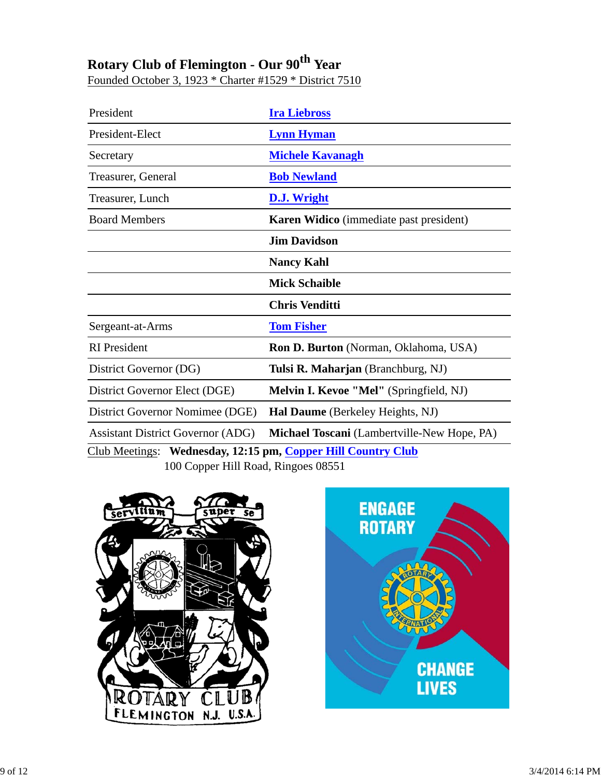# **Rotary Club of Flemington - Our 90th Year**

Founded October 3, 1923 \* Charter #1529 \* District 7510

| President                                                    | <b>Ira Liebross</b>                            |  |  |  |
|--------------------------------------------------------------|------------------------------------------------|--|--|--|
| President-Elect                                              | <b>Lynn Hyman</b>                              |  |  |  |
| Secretary                                                    | <b>Michele Kavanagh</b>                        |  |  |  |
| Treasurer, General                                           | <b>Bob Newland</b>                             |  |  |  |
| Treasurer, Lunch                                             | D.J. Wright                                    |  |  |  |
| <b>Board Members</b>                                         | <b>Karen Widico</b> (immediate past president) |  |  |  |
|                                                              | <b>Jim Davidson</b>                            |  |  |  |
|                                                              | <b>Nancy Kahl</b>                              |  |  |  |
|                                                              | <b>Mick Schaible</b>                           |  |  |  |
|                                                              | <b>Chris Venditti</b>                          |  |  |  |
| Sergeant-at-Arms                                             | <b>Tom Fisher</b>                              |  |  |  |
| <b>RI</b> President                                          | Ron D. Burton (Norman, Oklahoma, USA)          |  |  |  |
| District Governor (DG)                                       | Tulsi R. Maharjan (Branchburg, NJ)             |  |  |  |
| District Governor Elect (DGE)                                | Melvin I. Kevoe "Mel" (Springfield, NJ)        |  |  |  |
| District Governor Nomimee (DGE)                              | Hal Daume (Berkeley Heights, NJ)               |  |  |  |
| <b>Assistant District Governor (ADG)</b>                     | Michael Toscani (Lambertville-New Hope, PA)    |  |  |  |
| Club Meetings: Wednesday, 12:15 pm, Copper Hill Country Club |                                                |  |  |  |
| 100 Copper Hill Road, Ringoes 08551                          |                                                |  |  |  |



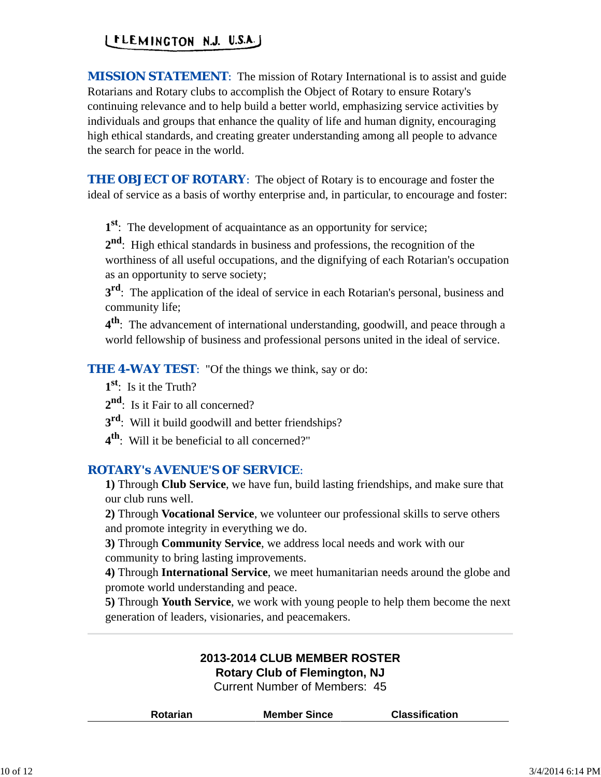# LELEMINGTON N.J. U.S.A.J

*MISSION STATEMENT*: The mission of Rotary International is to assist and guide Rotarians and Rotary clubs to accomplish the Object of Rotary to ensure Rotary's continuing relevance and to help build a better world, emphasizing service activities by individuals and groups that enhance the quality of life and human dignity, encouraging high ethical standards, and creating greater understanding among all people to advance the search for peace in the world.

*THE OBJECT OF ROTARY*: The object of Rotary is to encourage and foster the ideal of service as a basis of worthy enterprise and, in particular, to encourage and foster:

**1st**: The development of acquaintance as an opportunity for service;

**2nd**: High ethical standards in business and professions, the recognition of the worthiness of all useful occupations, and the dignifying of each Rotarian's occupation as an opportunity to serve society;

**3<sup>rd</sup>**: The application of the ideal of service in each Rotarian's personal, business and community life;

**4th**: The advancement of international understanding, goodwill, and peace through a world fellowship of business and professional persons united in the ideal of service.

**THE 4-WAY TEST:** "Of the things we think, say or do:

- **1st**: Is it the Truth?
- 2<sup>nd</sup>: Is it Fair to all concerned?
- **3<sup>rd</sup>:** Will it build goodwill and better friendships?
- **4th**: Will it be beneficial to all concerned?"

# *ROTARY's AVENUE'S OF SERVICE*:

**1)** Through **Club Service**, we have fun, build lasting friendships, and make sure that our club runs well.

**2)** Through **Vocational Service**, we volunteer our professional skills to serve others and promote integrity in everything we do.

**3)** Through **Community Service**, we address local needs and work with our community to bring lasting improvements.

**4)** Through **International Service**, we meet humanitarian needs around the globe and promote world understanding and peace.

**5)** Through **Youth Service**, we work with young people to help them become the next generation of leaders, visionaries, and peacemakers.

### **2013-2014 CLUB MEMBER ROSTER Rotary Club of Flemington, NJ**

Current Number of Members: 45

|  | <b>Rotarian</b> | <b>Member Since</b> | <b>Classification</b> |  |
|--|-----------------|---------------------|-----------------------|--|
|--|-----------------|---------------------|-----------------------|--|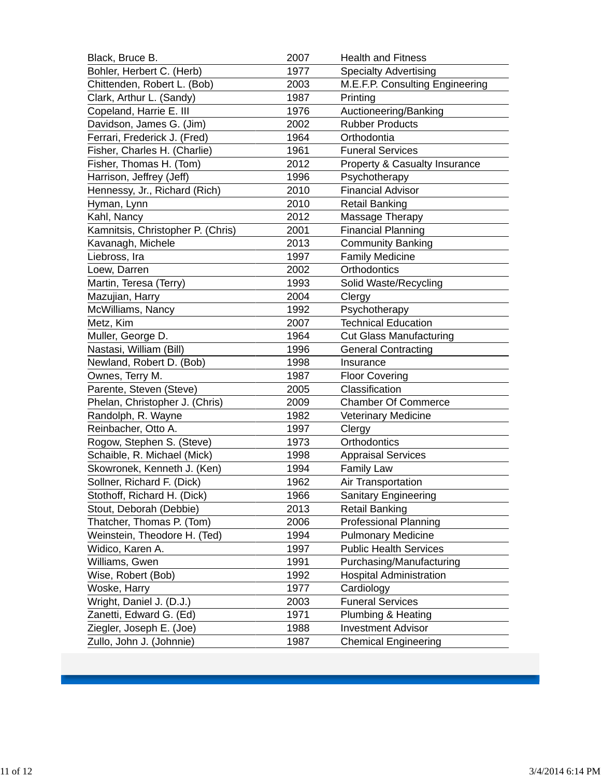| Black, Bruce B.                   | 2007 | <b>Health and Fitness</b>       |
|-----------------------------------|------|---------------------------------|
| Bohler, Herbert C. (Herb)         | 1977 | <b>Specialty Advertising</b>    |
| Chittenden, Robert L. (Bob)       | 2003 | M.E.F.P. Consulting Engineering |
| Clark, Arthur L. (Sandy)          | 1987 | Printing                        |
| Copeland, Harrie E. III           | 1976 | Auctioneering/Banking           |
| Davidson, James G. (Jim)          | 2002 | <b>Rubber Products</b>          |
| Ferrari, Frederick J. (Fred)      | 1964 | Orthodontia                     |
| Fisher, Charles H. (Charlie)      | 1961 | <b>Funeral Services</b>         |
| Fisher, Thomas H. (Tom)           | 2012 | Property & Casualty Insurance   |
| Harrison, Jeffrey (Jeff)          | 1996 | Psychotherapy                   |
| Hennessy, Jr., Richard (Rich)     | 2010 | <b>Financial Advisor</b>        |
| Hyman, Lynn                       | 2010 | <b>Retail Banking</b>           |
| Kahl, Nancy                       | 2012 | Massage Therapy                 |
| Kamnitsis, Christopher P. (Chris) | 2001 | <b>Financial Planning</b>       |
| Kavanagh, Michele                 | 2013 | <b>Community Banking</b>        |
| Liebross, Ira                     | 1997 | <b>Family Medicine</b>          |
| Loew, Darren                      | 2002 | Orthodontics                    |
| Martin, Teresa (Terry)            | 1993 | Solid Waste/Recycling           |
| Mazujian, Harry                   | 2004 | Clergy                          |
| McWilliams, Nancy                 | 1992 | Psychotherapy                   |
| Metz, Kim                         | 2007 | <b>Technical Education</b>      |
| Muller, George D.                 | 1964 | <b>Cut Glass Manufacturing</b>  |
| Nastasi, William (Bill)           | 1996 | <b>General Contracting</b>      |
| Newland, Robert D. (Bob)          | 1998 | Insurance                       |
| Ownes, Terry M.                   | 1987 | <b>Floor Covering</b>           |
| Parente, Steven (Steve)           | 2005 | Classification                  |
| Phelan, Christopher J. (Chris)    | 2009 | <b>Chamber Of Commerce</b>      |
| Randolph, R. Wayne                | 1982 | Veterinary Medicine             |
| Reinbacher, Otto A.               | 1997 | Clergy                          |
| Rogow, Stephen S. (Steve)         | 1973 | Orthodontics                    |
| Schaible, R. Michael (Mick)       | 1998 | <b>Appraisal Services</b>       |
| Skowronek, Kenneth J. (Ken)       | 1994 | <b>Family Law</b>               |
| Sollner, Richard F. (Dick)        | 1962 | Air Transportation              |
| Stothoff, Richard H. (Dick)       | 1966 | <b>Sanitary Engineering</b>     |
| Stout, Deborah (Debbie)           | 2013 | <b>Retail Banking</b>           |
| Thatcher, Thomas P. (Tom)         | 2006 | <b>Professional Planning</b>    |
| Weinstein, Theodore H. (Ted)      | 1994 | <b>Pulmonary Medicine</b>       |
| Widico, Karen A.                  | 1997 | <b>Public Health Services</b>   |
| Williams, Gwen                    | 1991 | Purchasing/Manufacturing        |
| Wise, Robert (Bob)                | 1992 | <b>Hospital Administration</b>  |
| Woske, Harry                      | 1977 | Cardiology                      |
| Wright, Daniel J. (D.J.)          | 2003 | <b>Funeral Services</b>         |
| Zanetti, Edward G. (Ed)           | 1971 | Plumbing & Heating              |
| Ziegler, Joseph E. (Joe)          | 1988 | <b>Investment Advisor</b>       |
| Zullo, John J. (Johnnie)          | 1987 | <b>Chemical Engineering</b>     |
|                                   |      |                                 |